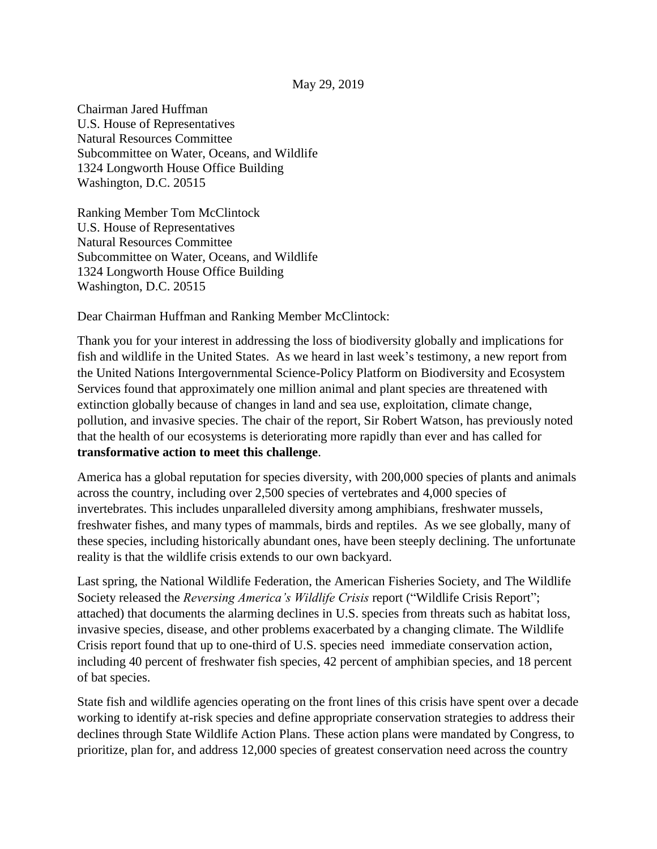Chairman Jared Huffman U.S. House of Representatives Natural Resources Committee Subcommittee on Water, Oceans, and Wildlife 1324 Longworth House Office Building Washington, D.C. 20515

Ranking Member Tom McClintock U.S. House of Representatives Natural Resources Committee Subcommittee on Water, Oceans, and Wildlife 1324 Longworth House Office Building Washington, D.C. 20515

Dear Chairman Huffman and Ranking Member McClintock:

Thank you for your interest in addressing the loss of biodiversity globally and implications for fish and wildlife in the United States. As we heard in last week's testimony, a new report from the United Nations Intergovernmental Science-Policy Platform on Biodiversity and Ecosystem Services found that approximately one million animal and plant species are threatened with extinction globally because of changes in land and sea use, exploitation, climate change, pollution, and invasive species. The chair of the report, Sir Robert Watson, has previously noted that the health of our ecosystems is deteriorating more rapidly than ever and has called for **transformative action to meet this challenge**.

America has a global reputation for species diversity, with 200,000 species of plants and animals across the country, including over 2,500 species of vertebrates and 4,000 species of invertebrates. This includes unparalleled diversity among amphibians, freshwater mussels, freshwater fishes, and many types of mammals, birds and reptiles. As we see globally, many of these species, including historically abundant ones, have been steeply declining. The unfortunate reality is that the wildlife crisis extends to our own backyard.

Last spring, the National Wildlife Federation, the American Fisheries Society, and The Wildlife Society released the *Reversing America's Wildlife Crisis* report ("Wildlife Crisis Report"; attached) that documents the alarming declines in U.S. species from threats such as habitat loss, invasive species, disease, and other problems exacerbated by a changing climate. The Wildlife Crisis report found that up to one-third of U.S. species need immediate conservation action, including 40 percent of freshwater fish species, 42 percent of amphibian species, and 18 percent of bat species.

State fish and wildlife agencies operating on the front lines of this crisis have spent over a decade working to identify at-risk species and define appropriate conservation strategies to address their declines through State Wildlife Action Plans. These action plans were mandated by Congress, to prioritize, plan for, and address 12,000 species of greatest conservation need across the country